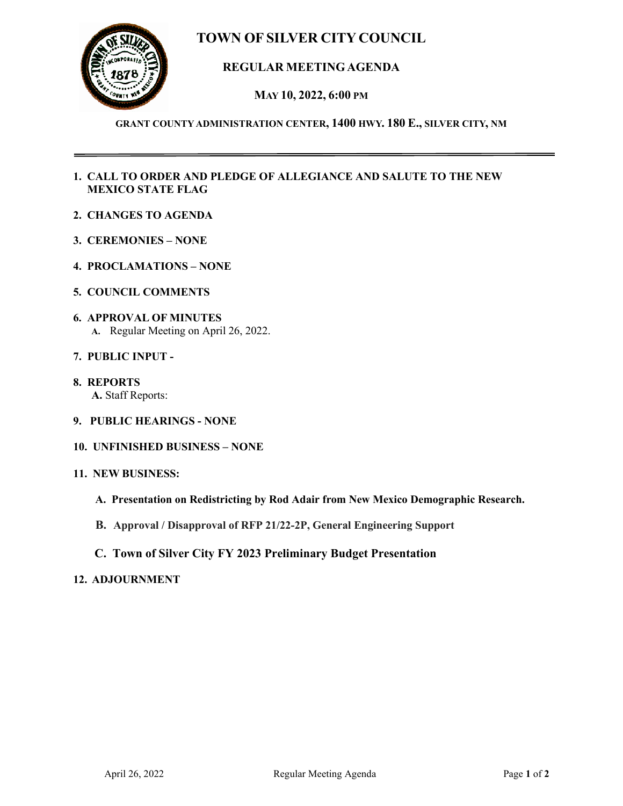# **TOWN OF SILVER CITY COUNCIL**



# **REGULAR MEETINGAGENDA**

**MAY 10, 2022, 6:00 PM**

### **GRANT COUNTY ADMINISTRATION CENTER, 1400 HWY. 180 E., SILVER CITY, NM**

## **1. CALL TO ORDER AND PLEDGE OF ALLEGIANCE AND SALUTE TO THE NEW MEXICO STATE FLAG**

- **2. CHANGES TO AGENDA**
- **3. CEREMONIES – NONE**
- **4. PROCLAMATIONS – NONE**
- **5. COUNCIL COMMENTS**
- **6. APPROVAL OF MINUTES A.** Regular Meeting on April 26, 2022.
- **7. PUBLIC INPUT -**
- **8. REPORTS A.** Staff Reports:
- **9. PUBLIC HEARINGS - NONE**
- **10. UNFINISHED BUSINESS – NONE**
- **11. NEW BUSINESS:**
	- **A. Presentation on Redistricting by Rod Adair from New Mexico Demographic Research.**
	- **B. Approval / Disapproval of RFP 21/22-2P, General Engineering Support**
	- **C. Town of Silver City FY 2023 Preliminary Budget Presentation**

#### **12. ADJOURNMENT**